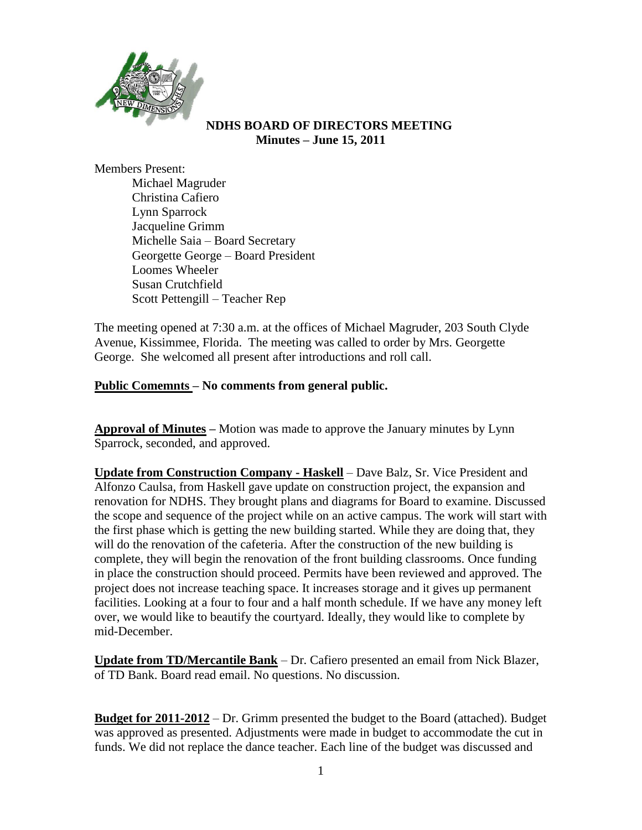

#### **NDHS BOARD OF DIRECTORS MEETING Minutes – June 15, 2011**

Members Present:

Michael Magruder Christina Cafiero Lynn Sparrock Jacqueline Grimm Michelle Saia – Board Secretary Georgette George – Board President Loomes Wheeler Susan Crutchfield Scott Pettengill – Teacher Rep

The meeting opened at 7:30 a.m. at the offices of Michael Magruder, 203 South Clyde Avenue, Kissimmee, Florida. The meeting was called to order by Mrs. Georgette George. She welcomed all present after introductions and roll call.

## **Public Comemnts – No comments from general public.**

**Approval of Minutes –** Motion was made to approve the January minutes by Lynn Sparrock, seconded, and approved.

**Update from Construction Company - Haskell** – Dave Balz, Sr. Vice President and Alfonzo Caulsa, from Haskell gave update on construction project, the expansion and renovation for NDHS. They brought plans and diagrams for Board to examine. Discussed the scope and sequence of the project while on an active campus. The work will start with the first phase which is getting the new building started. While they are doing that, they will do the renovation of the cafeteria. After the construction of the new building is complete, they will begin the renovation of the front building classrooms. Once funding in place the construction should proceed. Permits have been reviewed and approved. The project does not increase teaching space. It increases storage and it gives up permanent facilities. Looking at a four to four and a half month schedule. If we have any money left over, we would like to beautify the courtyard. Ideally, they would like to complete by mid-December.

**Update from TD/Mercantile Bank** – Dr. Cafiero presented an email from Nick Blazer, of TD Bank. Board read email. No questions. No discussion.

**Budget for 2011-2012** – Dr. Grimm presented the budget to the Board (attached). Budget was approved as presented. Adjustments were made in budget to accommodate the cut in funds. We did not replace the dance teacher. Each line of the budget was discussed and